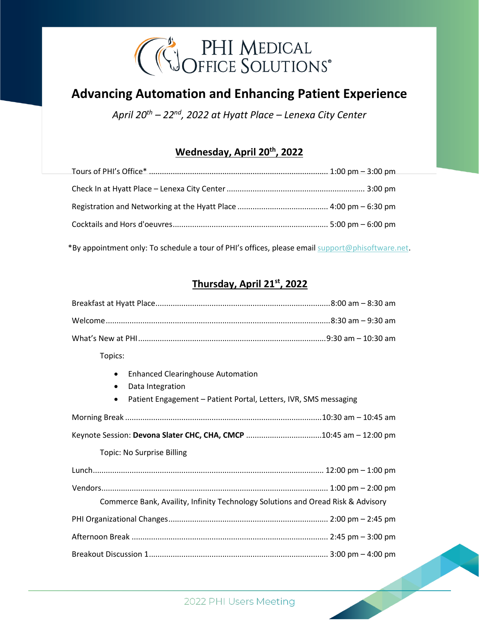

# **Advancing Automation and Enhancing Patient Experience**

*April 20 th – 22nd, 2022 at Hyatt Place – Lenexa City Center*

## **Wednesday, April 20 th , 2022**

\*By appointment only: To schedule a tour of PHI's offices, please email [support@phisoftware.net.](mailto:support@phisoftware.net)

### **Thursday, April 21st , 2022**

| Topics:                                                                                                                                                                 |  |  |
|-------------------------------------------------------------------------------------------------------------------------------------------------------------------------|--|--|
| <b>Enhanced Clearinghouse Automation</b><br>$\bullet$<br>Data Integration<br>$\bullet$<br>Patient Engagement - Patient Portal, Letters, IVR, SMS messaging<br>$\bullet$ |  |  |
|                                                                                                                                                                         |  |  |
|                                                                                                                                                                         |  |  |
| Topic: No Surprise Billing                                                                                                                                              |  |  |
|                                                                                                                                                                         |  |  |
| Commerce Bank, Availity, Infinity Technology Solutions and Oread Risk & Advisory                                                                                        |  |  |
|                                                                                                                                                                         |  |  |
|                                                                                                                                                                         |  |  |
|                                                                                                                                                                         |  |  |